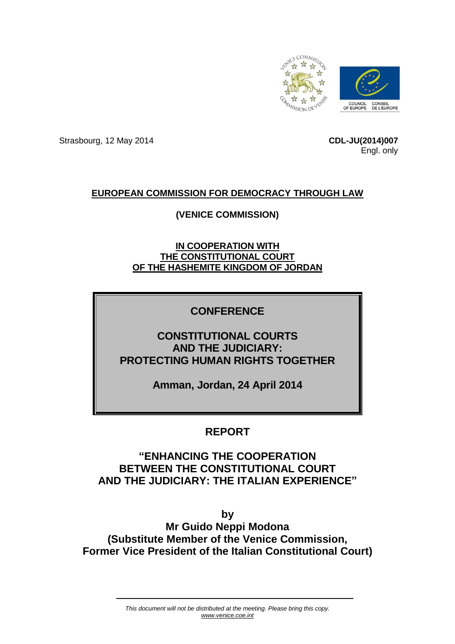

Strasbourg, 12 May 2014 **CDL-JU(2014)007**

Engl. only

## **EUROPEAN COMMISSION FOR DEMOCRACY THROUGH LAW**

## **(VENICE COMMISSION)**

**IN COOPERATION WITH THE CONSTITUTIONAL COURT OF THE HASHEMITE KINGDOM OF JORDAN**

## **CONFERENCE**

# **CONSTITUTIONAL COURTS AND THE JUDICIARY: PROTECTING HUMAN RIGHTS TOGETHER**

**Amman, Jordan, 24 April 2014**

# **REPORT**

# **"ENHANCING THE COOPERATION BETWEEN THE CONSTITUTIONAL COURT AND THE JUDICIARY: THE ITALIAN EXPERIENCE"**

**by Mr Guido Neppi Modona (Substitute Member of the Venice Commission, Former Vice President of the Italian Constitutional Court)**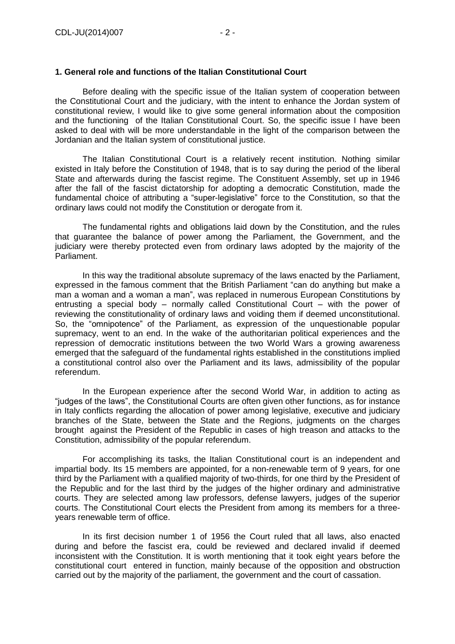### **1. General role and functions of the Italian Constitutional Court**

Before dealing with the specific issue of the Italian system of cooperation between the Constitutional Court and the judiciary, with the intent to enhance the Jordan system of constitutional review, I would like to give some general information about the composition and the functioning of the Italian Constitutional Court. So, the specific issue I have been asked to deal with will be more understandable in the light of the comparison between the Jordanian and the Italian system of constitutional justice.

The Italian Constitutional Court is a relatively recent institution. Nothing similar existed in Italy before the Constitution of 1948, that is to say during the period of the liberal State and afterwards during the fascist regime. The Constituent Assembly, set up in 1946 after the fall of the fascist dictatorship for adopting a democratic Constitution, made the fundamental choice of attributing a "super-legislative" force to the Constitution, so that the ordinary laws could not modify the Constitution or derogate from it.

The fundamental rights and obligations laid down by the Constitution, and the rules that guarantee the balance of power among the Parliament, the Government, and the judiciary were thereby protected even from ordinary laws adopted by the majority of the Parliament.

In this way the traditional absolute supremacy of the laws enacted by the Parliament, expressed in the famous comment that the British Parliament "can do anything but make a man a woman and a woman a man", was replaced in numerous European Constitutions by entrusting a special body – normally called Constitutional Court – with the power of reviewing the constitutionality of ordinary laws and voiding them if deemed unconstitutional. So, the "omnipotence" of the Parliament, as expression of the unquestionable popular supremacy, went to an end. In the wake of the authoritarian political experiences and the repression of democratic institutions between the two World Wars a growing awareness emerged that the safeguard of the fundamental rights established in the constitutions implied a constitutional control also over the Parliament and its laws, admissibility of the popular referendum.

In the European experience after the second World War, in addition to acting as "judges of the laws", the Constitutional Courts are often given other functions, as for instance in Italy conflicts regarding the allocation of power among legislative, executive and judiciary branches of the State, between the State and the Regions, judgments on the charges brought against the President of the Republic in cases of high treason and attacks to the Constitution, admissibility of the popular referendum.

For accomplishing its tasks, the Italian Constitutional court is an independent and impartial body. Its 15 members are appointed, for a non-renewable term of 9 years, for one third by the Parliament with a qualified majority of two-thirds, for one third by the President of the Republic and for the last third by the judges of the higher ordinary and administrative courts. They are selected among law professors, defense lawyers, judges of the superior courts. The Constitutional Court elects the President from among its members for a threeyears renewable term of office.

In its first decision number 1 of 1956 the Court ruled that all laws, also enacted during and before the fascist era, could be reviewed and declared invalid if deemed inconsistent with the Constitution. It is worth mentioning that it took eight years before the constitutional court entered in function, mainly because of the opposition and obstruction carried out by the majority of the parliament, the government and the court of cassation.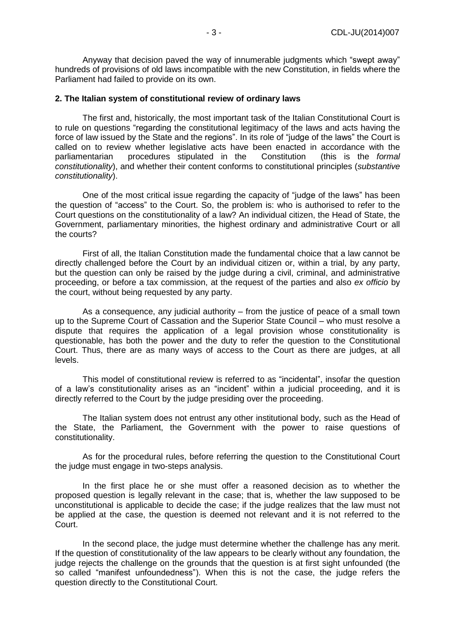Anyway that decision paved the way of innumerable judgments which "swept away" hundreds of provisions of old laws incompatible with the new Constitution, in fields where the Parliament had failed to provide on its own.

#### **2. The Italian system of constitutional review of ordinary laws**

The first and, historically, the most important task of the Italian Constitutional Court is to rule on questions "regarding the constitutional legitimacy of the laws and acts having the force of law issued by the State and the regions". In its role of "judge of the laws" the Court is called on to review whether legislative acts have been enacted in accordance with the parliamentarian procedures stipulated in the Constitution (this is the *formal constitutionality*), and whether their content conforms to constitutional principles (*substantive constitutionality*).

One of the most critical issue regarding the capacity of "judge of the laws" has been the question of "access" to the Court. So, the problem is: who is authorised to refer to the Court questions on the constitutionality of a law? An individual citizen, the Head of State, the Government, parliamentary minorities, the highest ordinary and administrative Court or all the courts?

First of all, the Italian Constitution made the fundamental choice that a law cannot be directly challenged before the Court by an individual citizen or, within a trial, by any party, but the question can only be raised by the judge during a civil, criminal, and administrative proceeding, or before a tax commission, at the request of the parties and also *ex officio* by the court, without being requested by any party.

As a consequence, any judicial authority – from the justice of peace of a small town up to the Supreme Court of Cassation and the Superior State Council – who must resolve a dispute that requires the application of a legal provision whose constitutionality is questionable, has both the power and the duty to refer the question to the Constitutional Court. Thus, there are as many ways of access to the Court as there are judges, at all levels.

This model of constitutional review is referred to as "incidental", insofar the question of a law's constitutionality arises as an "incident" within a judicial proceeding, and it is directly referred to the Court by the judge presiding over the proceeding.

The Italian system does not entrust any other institutional body, such as the Head of the State, the Parliament, the Government with the power to raise questions of constitutionality.

As for the procedural rules, before referring the question to the Constitutional Court the judge must engage in two-steps analysis.

In the first place he or she must offer a reasoned decision as to whether the proposed question is legally relevant in the case; that is, whether the law supposed to be unconstitutional is applicable to decide the case; if the judge realizes that the law must not be applied at the case, the question is deemed not relevant and it is not referred to the Court.

In the second place, the judge must determine whether the challenge has any merit. If the question of constitutionality of the law appears to be clearly without any foundation, the judge rejects the challenge on the grounds that the question is at first sight unfounded (the so called "manifest unfoundedness"). When this is not the case, the judge refers the question directly to the Constitutional Court.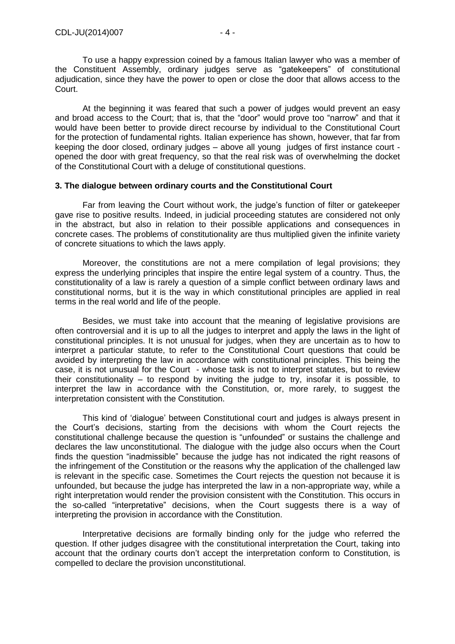To use a happy expression coined by a famous Italian lawyer who was a member of the Constituent Assembly, ordinary judges serve as "gatekeepers" of constitutional adjudication, since they have the power to open or close the door that allows access to the Court.

At the beginning it was feared that such a power of judges would prevent an easy and broad access to the Court; that is, that the "door" would prove too "narrow" and that it would have been better to provide direct recourse by individual to the Constitutional Court for the protection of fundamental rights. Italian experience has shown, however, that far from keeping the door closed, ordinary judges – above all young judges of first instance court opened the door with great frequency, so that the real risk was of overwhelming the docket of the Constitutional Court with a deluge of constitutional questions.

### **3. The dialogue between ordinary courts and the Constitutional Court**

Far from leaving the Court without work, the judge's function of filter or gatekeeper gave rise to positive results. Indeed, in judicial proceeding statutes are considered not only in the abstract, but also in relation to their possible applications and consequences in concrete cases. The problems of constitutionality are thus multiplied given the infinite variety of concrete situations to which the laws apply.

Moreover, the constitutions are not a mere compilation of legal provisions; they express the underlying principles that inspire the entire legal system of a country. Thus, the constitutionality of a law is rarely a question of a simple conflict between ordinary laws and constitutional norms, but it is the way in which constitutional principles are applied in real terms in the real world and life of the people.

Besides, we must take into account that the meaning of legislative provisions are often controversial and it is up to all the judges to interpret and apply the laws in the light of constitutional principles. It is not unusual for judges, when they are uncertain as to how to interpret a particular statute, to refer to the Constitutional Court questions that could be avoided by interpreting the law in accordance with constitutional principles. This being the case, it is not unusual for the Court - whose task is not to interpret statutes, but to review their constitutionality – to respond by inviting the judge to try, insofar it is possible, to interpret the law in accordance with the Constitution, or, more rarely, to suggest the interpretation consistent with the Constitution.

This kind of 'dialogue' between Constitutional court and judges is always present in the Court's decisions, starting from the decisions with whom the Court rejects the constitutional challenge because the question is "unfounded" or sustains the challenge and declares the law unconstitutional. The dialogue with the judge also occurs when the Court finds the question "inadmissible" because the judge has not indicated the right reasons of the infringement of the Constitution or the reasons why the application of the challenged law is relevant in the specific case. Sometimes the Court rejects the question not because it is unfounded, but because the judge has interpreted the law in a non-appropriate way, while a right interpretation would render the provision consistent with the Constitution. This occurs in the so-called "interpretative" decisions, when the Court suggests there is a way of interpreting the provision in accordance with the Constitution.

Interpretative decisions are formally binding only for the judge who referred the question. If other judges disagree with the constitutional interpretation the Court, taking into account that the ordinary courts don't accept the interpretation conform to Constitution, is compelled to declare the provision unconstitutional.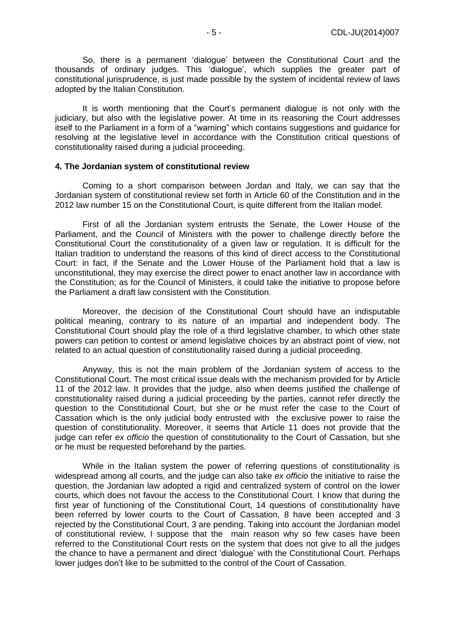So, there is a permanent 'dialogue' between the Constitutional Court and the thousands of ordinary judges. This 'dialogue', which supplies the greater part of constitutional jurisprudence, is just made possible by the system of incidental review of laws adopted by the Italian Constitution.

It is worth mentioning that the Court's permanent dialogue is not only with the judiciary, but also with the legislative power. At time in its reasoning the Court addresses itself to the Parliament in a form of a "warning" which contains suggestions and guidance for resolving at the legislative level in accordance with the Constitution critical questions of constitutionality raised during a judicial proceeding.

#### **4. The Jordanian system of constitutional review**

Coming to a short comparison between Jordan and Italy, we can say that the Jordanian system of constitutional review set forth in Article 60 of the Constitution and in the 2012 law number 15 on the Constitutional Court, is quite different from the Italian model.

First of all the Jordanian system entrusts the Senate, the Lower House of the Parliament, and the Council of Ministers with the power to challenge directly before the Constitutional Court the constitutionality of a given law or regulation. It is difficult for the Italian tradition to understand the reasons of this kind of direct access to the Constitutional Court: in fact, if the Senate and the Lower House of the Parliament hold that a law is unconstitutional, they may exercise the direct power to enact another law in accordance with the Constitution; as for the Council of Ministers, it could take the initiative to propose before the Parliament a draft law consistent with the Constitution.

Moreover, the decision of the Constitutional Court should have an indisputable political meaning, contrary to its nature of an impartial and independent body. The Constitutional Court should play the role of a third legislative chamber, to which other state powers can petition to contest or amend legislative choices by an abstract point of view, not related to an actual question of constitutionality raised during a judicial proceeding.

Anyway, this is not the main problem of the Jordanian system of access to the Constitutional Court. The most critical issue deals with the mechanism provided for by Article 11 of the 2012 law. It provides that the judge, also when deems justified the challenge of constitutionality raised during a judicial proceeding by the parties, cannot refer directly the question to the Constitutional Court, but she or he must refer the case to the Court of Cassation which is the only judicial body entrusted with the exclusive power to raise the question of constitutionality. Moreover, it seems that Article 11 does not provide that the judge can refer *ex officio* the question of constitutionality to the Court of Cassation, but she or he must be requested beforehand by the parties.

While in the Italian system the power of referring questions of constitutionality is widespread among all courts, and the judge can also take *ex officio* the initiative to raise the question, the Jordanian law adopted a rigid and centralized system of control on the lower courts, which does not favour the access to the Constitutional Court. I know that during the first year of functioning of the Constitutional Court, 14 questions of constitutionality have been referred by lower courts to the Court of Cassation, 8 have been accepted and 3 rejected by the Constitutional Court, 3 are pending. Taking into account the Jordanian model of constitutional review, I suppose that the main reason why so few cases have been referred to the Constitutional Court rests on the system that does not give to all the judges the chance to have a permanent and direct 'dialogue' with the Constitutional Court. Perhaps lower judges don't like to be submitted to the control of the Court of Cassation.